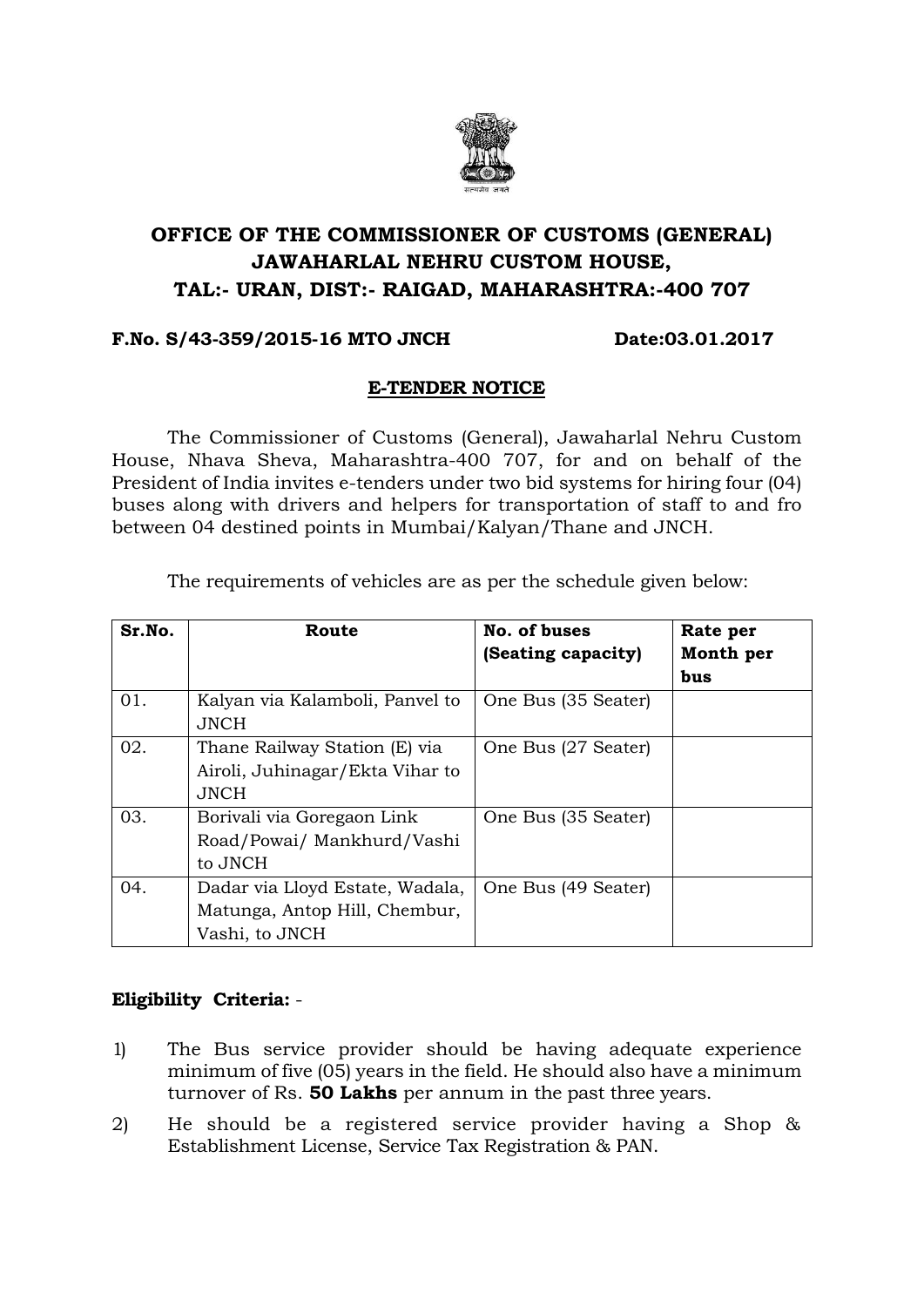

# **OFFICE OF THE COMMISSIONER OF CUSTOMS (GENERAL) JAWAHARLAL NEHRU CUSTOM HOUSE, TAL:- URAN, DIST:- RAIGAD, MAHARASHTRA:-400 707**

### **F.No. S/43-359/2015-16 MTO JNCH Date:03.01.2017**

### **E-TENDER NOTICE**

The Commissioner of Customs (General), Jawaharlal Nehru Custom House, Nhava Sheva, Maharashtra-400 707, for and on behalf of the President of India invites e-tenders under two bid systems for hiring four (04) buses along with drivers and helpers for transportation of staff to and fro between 04 destined points in Mumbai/Kalyan/Thane and JNCH.

The requirements of vehicles are as per the schedule given below:

| Sr.No. | Route                                                                              | No. of buses<br>(Seating capacity) | Rate per<br>Month per<br>bus |
|--------|------------------------------------------------------------------------------------|------------------------------------|------------------------------|
| 01.    | Kalyan via Kalamboli, Panvel to<br>JNCH.                                           | One Bus (35 Seater)                |                              |
| 02.    | Thane Railway Station (E) via<br>Airoli, Juhinagar/Ekta Vihar to<br><b>JNCH</b>    | One Bus (27 Seater)                |                              |
| 03.    | Borivali via Goregaon Link<br>Road/Powai/ Mankhurd/Vashi<br>to JNCH                | One Bus (35 Seater)                |                              |
| 04.    | Dadar via Lloyd Estate, Wadala,<br>Matunga, Antop Hill, Chembur,<br>Vashi, to JNCH | One Bus (49 Seater)                |                              |

## **Eligibility Criteria:** -

- 1) The Bus service provider should be having adequate experience minimum of five (05) years in the field. He should also have a minimum turnover of Rs. **50 Lakhs** per annum in the past three years.
- 2) He should be a registered service provider having a Shop & Establishment License, Service Tax Registration & PAN.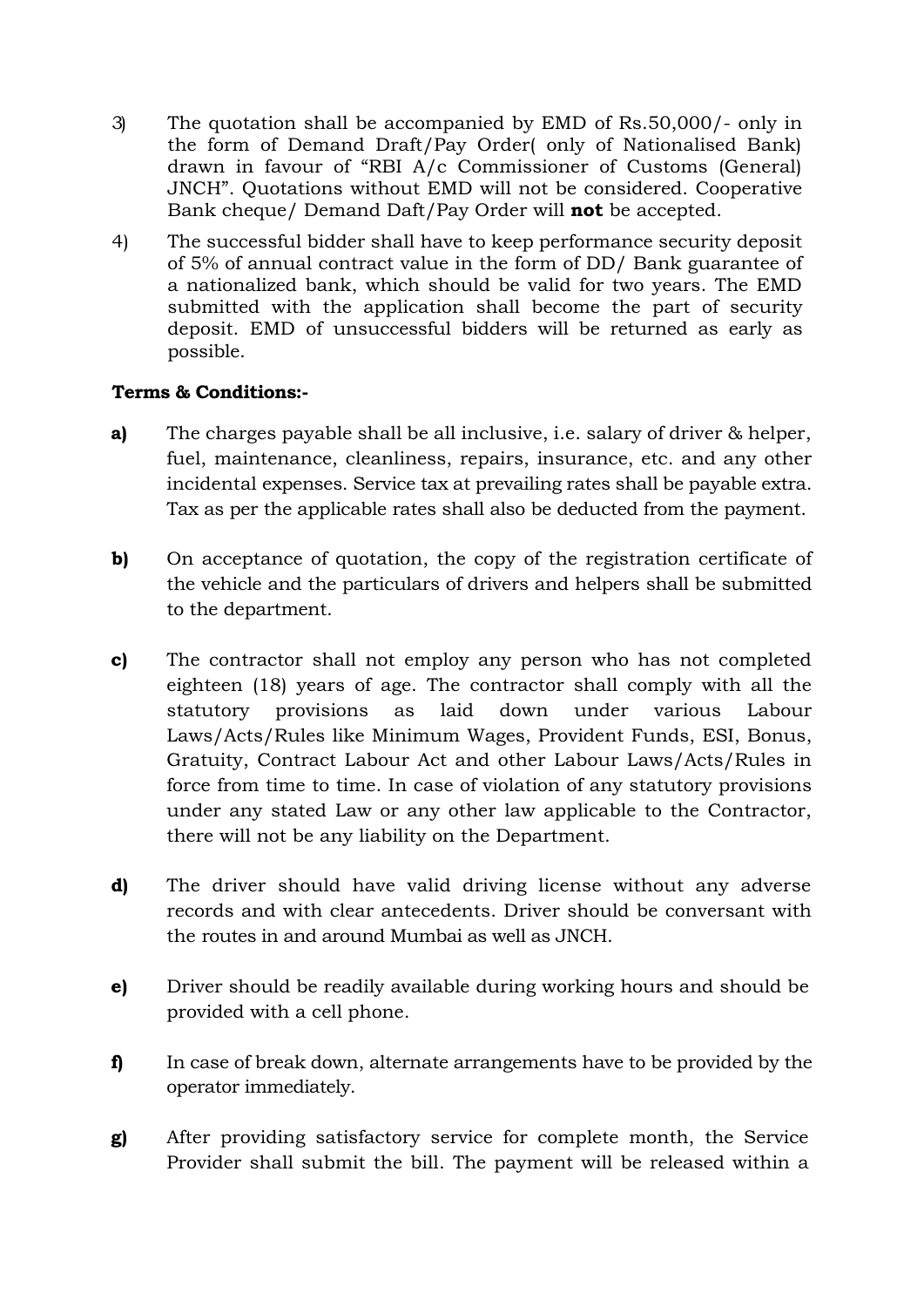- 3) The quotation shall be accompanied by EMD of Rs.50,000/- only in the form of Demand Draft/Pay Order( only of Nationalised Bank) drawn in favour of "RBI A/c Commissioner of Customs (General) JNCH". Quotations without EMD will not be considered. Cooperative Bank cheque/ Demand Daft/Pay Order will **not** be accepted.
- 4) The successful bidder shall have to keep performance security deposit of 5% of annual contract value in the form of DD/ Bank guarantee of a nationalized bank, which should be valid for two years. The EMD submitted with the application shall become the part of security deposit. EMD of unsuccessful bidders will be returned as early as possible.

## **Terms & Conditions:-**

- **a)** The charges payable shall be all inclusive, i.e. salary of driver & helper, fuel, maintenance, cleanliness, repairs, insurance, etc. and any other incidental expenses. Service tax at prevailing rates shall be payable extra. Tax as per the applicable rates shall also be deducted from the payment.
- **b)** On acceptance of quotation, the copy of the registration certificate of the vehicle and the particulars of drivers and helpers shall be submitted to the department.
- **c)** The contractor shall not employ any person who has not completed eighteen (18) years of age. The contractor shall comply with all the statutory provisions as laid down under various Labour Laws/Acts/Rules like Minimum Wages, Provident Funds, ESI, Bonus, Gratuity, Contract Labour Act and other Labour Laws/Acts/Rules in force from time to time. In case of violation of any statutory provisions under any stated Law or any other law applicable to the Contractor, there will not be any liability on the Department.
- **d)** The driver should have valid driving license without any adverse records and with clear antecedents. Driver should be conversant with the routes in and around Mumbai as well as JNCH.
- **e)** Driver should be readily available during working hours and should be provided with a cell phone.
- **f)** In case of break down, alternate arrangements have to be provided by the operator immediately.
- **g)** After providing satisfactory service for complete month, the Service Provider shall submit the bill. The payment will be released within a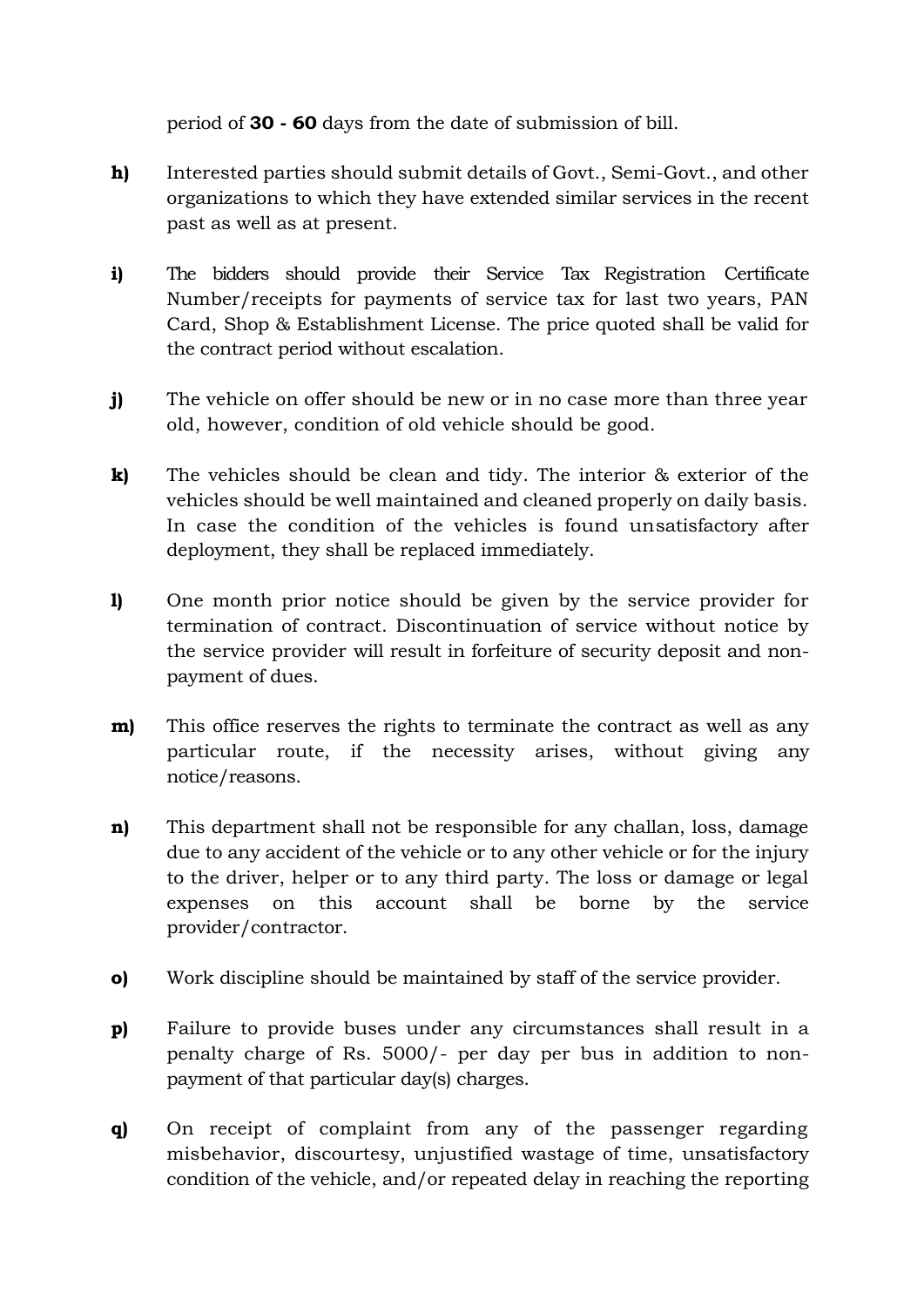period of **30 - 60** days from the date of submission of bill.

- **h)** Interested parties should submit details of Govt., Semi-Govt., and other organizations to which they have extended similar services in the recent past as well as at present.
- **i)** The bidders should provide their Service Tax Registration Certificate Number/receipts for payments of service tax for last two years, PAN Card, Shop & Establishment License. The price quoted shall be valid for the contract period without escalation.
- **j)** The vehicle on offer should be new or in no case more than three year old, however, condition of old vehicle should be good.
- **k)** The vehicles should be clean and tidy. The interior & exterior of the vehicles should be well maintained and cleaned properly on daily basis. In case the condition of the vehicles is found unsatisfactory after deployment, they shall be replaced immediately.
- **l)** One month prior notice should be given by the service provider for termination of contract. Discontinuation of service without notice by the service provider will result in forfeiture of security deposit and nonpayment of dues.
- **m**) This office reserves the rights to terminate the contract as well as any particular route, if the necessity arises, without giving any notice/reasons.
- **n)** This department shall not be responsible for any challan, loss, damage due to any accident of the vehicle or to any other vehicle or for the injury to the driver, helper or to any third party. The loss or damage or legal expenses on this account shall be borne by the service provider/contractor.
- **o)** Work discipline should be maintained by staff of the service provider.
- **p)** Failure to provide buses under any circumstances shall result in a penalty charge of Rs. 5000/- per day per bus in addition to nonpayment of that particular day(s) charges.
- **q)** On receipt of complaint from any of the passenger regarding misbehavior, discourtesy, unjustified wastage of time, unsatisfactory condition of the vehicle, and/or repeated delay in reaching the reporting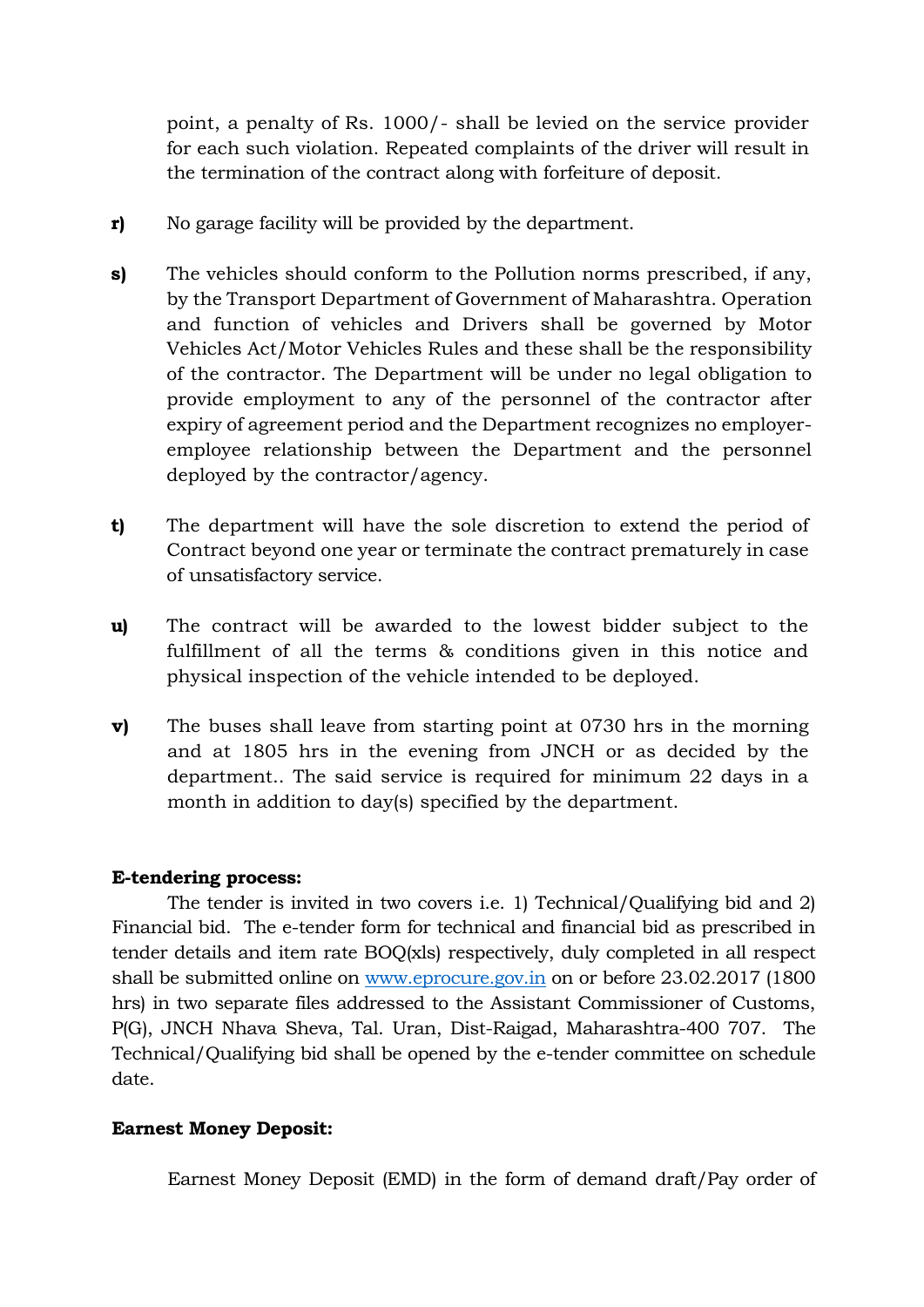point, a penalty of Rs. 1000/- shall be levied on the service provider for each such violation. Repeated complaints of the driver will result in the termination of the contract along with forfeiture of deposit.

- **r)** No garage facility will be provided by the department.
- **s)** The vehicles should conform to the Pollution norms prescribed, if any, by the Transport Department of Government of Maharashtra. Operation and function of vehicles and Drivers shall be governed by Motor Vehicles Act/Motor Vehicles Rules and these shall be the responsibility of the contractor. The Department will be under no legal obligation to provide employment to any of the personnel of the contractor after expiry of agreement period and the Department recognizes no employeremployee relationship between the Department and the personnel deployed by the contractor/agency.
- **t)** The department will have the sole discretion to extend the period of Contract beyond one year or terminate the contract prematurely in case of unsatisfactory service.
- **u)** The contract will be awarded to the lowest bidder subject to the fulfillment of all the terms & conditions given in this notice and physical inspection of the vehicle intended to be deployed.
- **v)** The buses shall leave from starting point at 0730 hrs in the morning and at 1805 hrs in the evening from JNCH or as decided by the department.. The said service is required for minimum 22 days in a month in addition to day(s) specified by the department.

### **E-tendering process:**

The tender is invited in two covers i.e. 1) Technical/Qualifying bid and 2) Financial bid. The e-tender form for technical and financial bid as prescribed in tender details and item rate BOQ(xls) respectively, duly completed in all respect shall be submitted online on [www.eprocure.gov.in](http://www.eprocure.gov.in/) on or before 23.02.2017 (1800 hrs) in two separate files addressed to the Assistant Commissioner of Customs, P(G), JNCH Nhava Sheva, Tal. Uran, Dist-Raigad, Maharashtra-400 707. The Technical/Qualifying bid shall be opened by the e-tender committee on schedule date.

### **Earnest Money Deposit:**

Earnest Money Deposit (EMD) in the form of demand draft/Pay order of